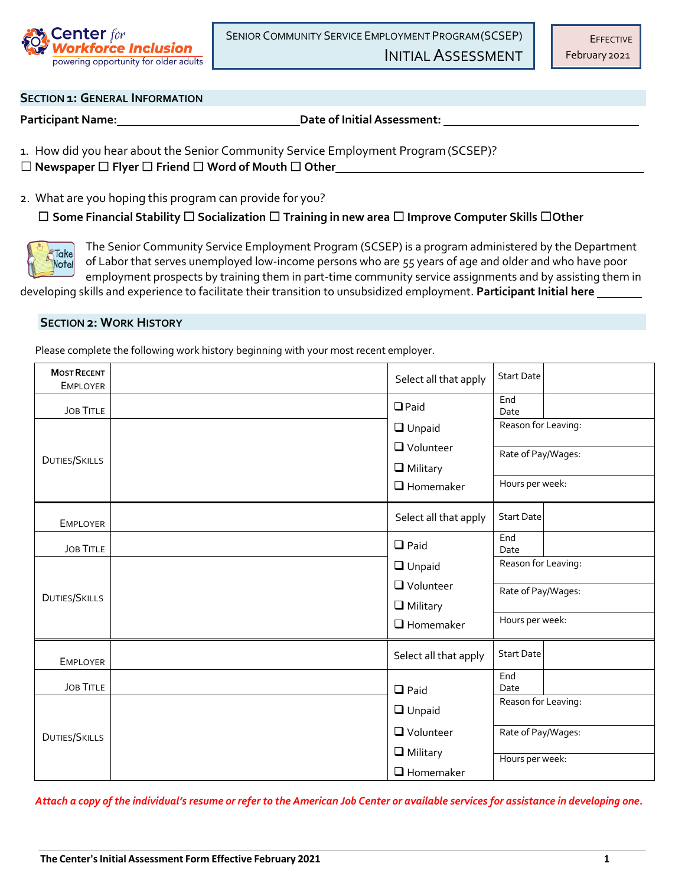

SENIOR COMMUNITY SERVICE EMPLOYMENT PROGRAM(SCSEP)

INITIAL ASSESSMENT

# **SECTION 1: GENERAL INFORMATION**

**Participant Name: Date of Initial Assessment:**

1. How did you hear about the Senior Community Service Employment Program(SCSEP)?

☐ **Newspaper** ☐ **Flyer** ☐ **Friend** ☐ **Word of Mouth** ☐ **Other**

2. What are you hoping this program can provide for you?

☐ **Some Financial Stability** ☐ **Socialization** ☐ **Training in new area** ☐ **Improve Computer Skills** ☐**Other**



The Senior Community Service Employment Program (SCSEP) is a program administered by the Department of Labor that serves unemployed low-income persons who are 55 years of age and older and who have poor employment prospects by training them in part-time community service assignments and by assisting them in

developing skills and experience to facilitate their transition to unsubsidized employment. **Participant Initial here**

## **SECTION 2: WORK HISTORY**

Please complete the following work history beginning with your most recent employer.

| <b>MOST RECENT</b><br><b>EMPLOYER</b> |  | Select all that apply                                  | <b>Start Date</b>                                            |  |
|---------------------------------------|--|--------------------------------------------------------|--------------------------------------------------------------|--|
| <b>JOB TITLE</b>                      |  | $D$ Paid                                               | End<br>Date                                                  |  |
| DUTIES/SKILLS                         |  | $\Box$ Unpaid<br><b>Q</b> Volunteer<br>$\Box$ Military | Reason for Leaving:<br>Rate of Pay/Wages:                    |  |
|                                       |  | $\Box$ Homemaker                                       | Hours per week:                                              |  |
| <b>EMPLOYER</b>                       |  | Select all that apply                                  | <b>Start Date</b>                                            |  |
| <b>JOB TITLE</b>                      |  | $\Box$ Paid                                            | End<br>Date                                                  |  |
| <b>DUTIES/SKILLS</b>                  |  | $\Box$ Unpaid<br>$\Box$ Volunteer<br>$\Box$ Military   | Reason for Leaving:<br>Rate of Pay/Wages:<br>Hours per week: |  |
|                                       |  | $\Box$ Homemaker                                       |                                                              |  |
| <b>EMPLOYER</b>                       |  | Select all that apply                                  | <b>Start Date</b>                                            |  |
| <b>JOB TITLE</b>                      |  | $\Box$ Paid                                            | End<br>Date                                                  |  |
| <b>DUTIES/SKILLS</b>                  |  | $\Box$ Unpaid                                          | Reason for Leaving:                                          |  |
|                                       |  | $\Box$ Volunteer                                       | Rate of Pay/Wages:                                           |  |
|                                       |  | $\Box$ Military<br>$\Box$ Homemaker                    | Hours per week:                                              |  |

*Attach a copy of the individual's resume or refer to the American Job Center or available services for assistance in developing one.*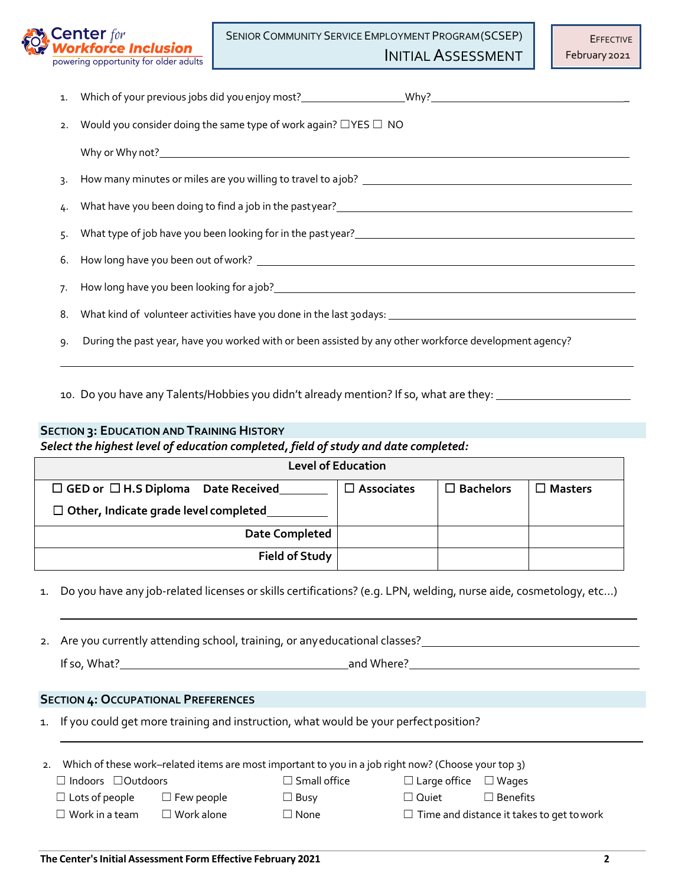

SENIOR COMMUNITY SERVICE EMPLOYMENT PROGRAM(SCSEP)

INITIAL ASSESSMENT

| 2. Would you consider doing the same type of work again? $\Box$ YES $\Box$ NO                                                                                                                                                      |
|------------------------------------------------------------------------------------------------------------------------------------------------------------------------------------------------------------------------------------|
|                                                                                                                                                                                                                                    |
|                                                                                                                                                                                                                                    |
| 4. What have you been doing to find a job in the pastyear?<br>4. What have you been doing to find a job in the pastyear?<br>1. The manus and the manus and the manus and the manus and the manus and the manus and the manus and t |
|                                                                                                                                                                                                                                    |
|                                                                                                                                                                                                                                    |
|                                                                                                                                                                                                                                    |
|                                                                                                                                                                                                                                    |
| 9. During the past year, have you worked with or been assisted by any other workforce development agency?                                                                                                                          |

10. Do you have any Talents/Hobbies you didn't already mention? If so, what are they:

# **SECTION 3: EDUCATION AND TRAINING HISTORY**

*Select the highest level of education completed, field of study and date completed:*

| <b>Level of Education</b>                      |                      |                  |         |  |
|------------------------------------------------|----------------------|------------------|---------|--|
| $\Box$ GED or $\Box$ H.S Diploma Date Received | $\square$ Associates | $\Box$ Bachelors | Masters |  |
| $\Box$ Other, Indicate grade level completed   |                      |                  |         |  |
| <b>Date Completed</b>                          |                      |                  |         |  |
| <b>Field of Study</b>                          |                      |                  |         |  |

1. Do you have any job-related licenses or skills certifications? (e.g. LPN, welding, nurse aide, cosmetology, etc...)

2. Are you currently attending school, training, or any educational classes? <u>Communications are alled</u>

If so, What? and Where?

### **SECTION 4: OCCUPATIONAL PREFERENCES**

1. If you could get more training and instruction, what would be your perfect position?

| 2. Which of these work–related items are most important to you in a job right now? (Choose your top 3) |                   |                     |                                  |                                                  |
|--------------------------------------------------------------------------------------------------------|-------------------|---------------------|----------------------------------|--------------------------------------------------|
| $\Box$ Indoors $\Box$ Outdoors                                                                         |                   | $\Box$ Small office | $\Box$ Large office $\Box$ Wages |                                                  |
| $\Box$ Lots of people                                                                                  | $\Box$ Few people | $\Box$ Busy         | $\Box$ Quiet                     | $\Box$ Benefits                                  |
| $\Box$ Work in a team $\Box$                                                                           | $\Box$ Work alone | $\Box$ None         |                                  | $\Box$ Time and distance it takes to get to work |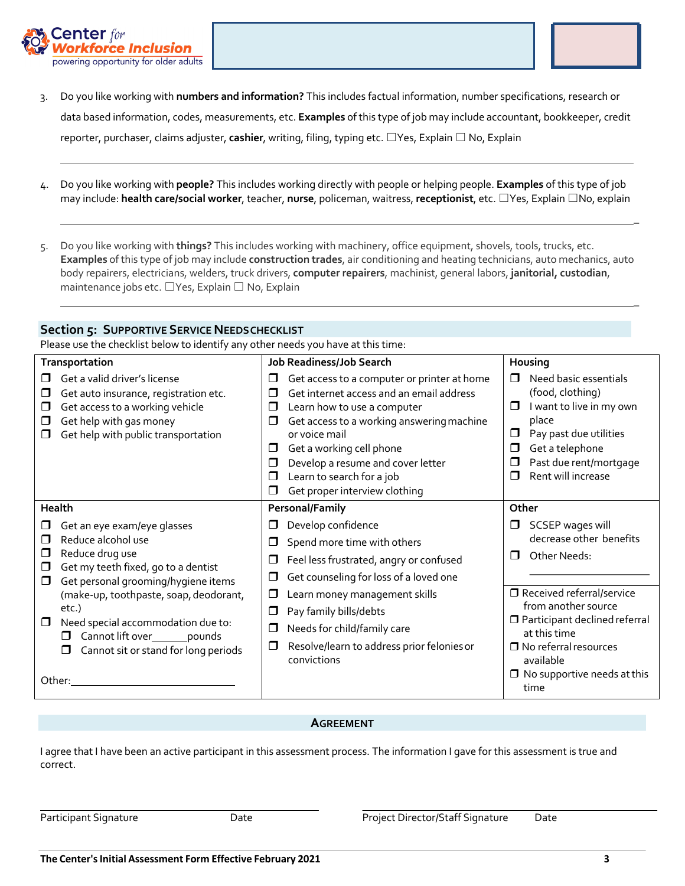



\_

\_

- 3. Do you like working with **numbers and information?** This includes factual information, number specifications, research or data based information, codes, measurements, etc. **Examples** of this type of job may include accountant, bookkeeper, credit reporter, purchaser, claims adjuster, **cashier**, writing, filing, typing etc. ☐Yes, Explain ☐ No, Explain
- 4. Do you like working with **people?** This includes working directly with people or helping people. **Examples** of this type of job may include: **health care/social worker**, teacher, **nurse**, policeman, waitress, **receptionist**, etc. ☐Yes, Explain ☐No, explain
- 5. Do you like working with **things?** This includes working with machinery, office equipment, shovels, tools, trucks, etc. **Examples** of this type of job may include **construction trades**, air conditioning and heating technicians, auto mechanics, auto body repairers, electricians, welders, truck drivers, **computer repairers**, machinist, general labors, **janitorial, custodian**, maintenance jobs etc. ☐Yes, Explain ☐ No, Explain

### **Section 5: SUPPORTIVE SERVICE NEEDSCHECKLIST**

Please use the checklist below to identify any other needs you have at this time:

| Transportation                                                                                                                                                                       | <b>Job Readiness/Job Search</b>                                                                                                                                                                                                                                                                                                                                       | Housing                                                                                                                                                                                                             |  |
|--------------------------------------------------------------------------------------------------------------------------------------------------------------------------------------|-----------------------------------------------------------------------------------------------------------------------------------------------------------------------------------------------------------------------------------------------------------------------------------------------------------------------------------------------------------------------|---------------------------------------------------------------------------------------------------------------------------------------------------------------------------------------------------------------------|--|
| Get a valid driver's license<br>Get auto insurance, registration etc.<br>Get access to a working vehicle<br>□<br>Get help with gas money<br>□<br>Get help with public transportation | Get access to a computer or printer at home<br>□<br>Get internet access and an email address<br>⊓<br>□<br>Learn how to use a computer<br>Get access to a working answering machine<br>□<br>or voice mail<br>Get a working cell phone<br>□<br>Develop a resume and cover letter<br>$\Box$<br>Learn to search for a job<br>$\Box$<br>Get proper interview clothing<br>□ | Need basic essentials<br>П<br>(food, clothing)<br>I want to live in my own<br>$\Box$<br>place<br>Pay past due utilities<br>◻<br>Get a telephone<br>$\Box$<br>Past due rent/mortgage<br>□<br>Rent will increase<br>⊓ |  |
| Health                                                                                                                                                                               | <b>Personal/Family</b>                                                                                                                                                                                                                                                                                                                                                | Other                                                                                                                                                                                                               |  |
| Get an eye exam/eye glasses<br>Reduce alcohol use<br>П<br>Reduce drug use<br>□<br>Get my teeth fixed, go to a dentist<br>□<br>Get personal grooming/hygiene items<br>□               | Develop confidence<br>□<br>Spend more time with others<br>□<br>Feel less frustrated, angry or confused<br>□<br>Get counseling for loss of a loved one<br>□                                                                                                                                                                                                            | SCSEP wages will<br>decrease other benefits<br>Other Needs:<br>п                                                                                                                                                    |  |
| (make-up, toothpaste, soap, deodorant,<br>etc.)<br>Need special accommodation due to:<br>Cannot lift over________pounds<br>Cannot sit or stand for long periods<br>□<br>Other:       | Learn money management skills<br>□<br>Pay family bills/debts<br>□<br>Needs for child/family care<br>◘<br>Resolve/learn to address prior felonies or<br>◘<br>convictions                                                                                                                                                                                               | □ Received referral/service<br>from another source<br>$\Box$ Participant declined referral<br>at this time<br>$\Box$ No referral resources<br>available<br>$\Box$ No supportive needs at this<br>time               |  |

### **AGREEMENT**

I agree that I have been an active participant in this assessment process. The information I gave for this assessment is true and correct.

Participant Signature **Date** Date **Date Communist Project Director/Staff Signature** Date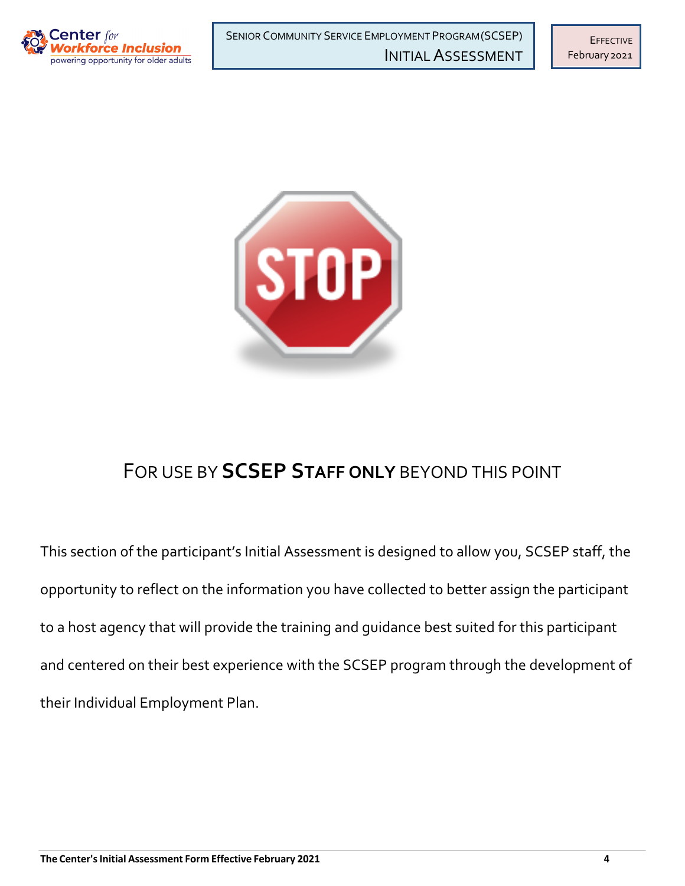



# FOR USE BY **SCSEP STAFF ONLY** BEYOND THIS POINT

This section of the participant's Initial Assessment is designed to allow you, SCSEP staff, the opportunity to reflect on the information you have collected to better assign the participant to a host agency that will provide the training and guidance best suited for this participant and centered on their best experience with the SCSEP program through the development of their Individual Employment Plan.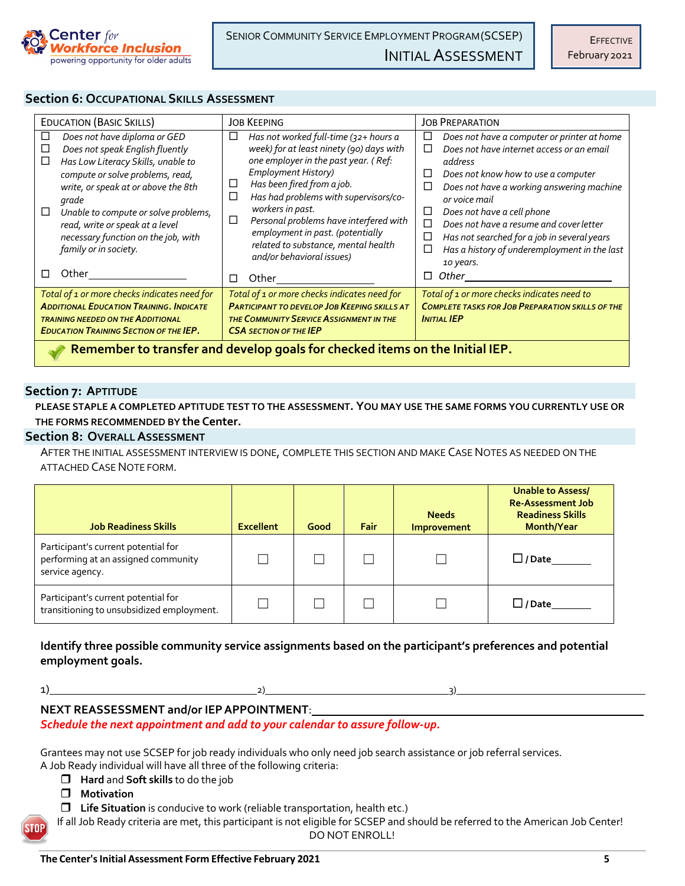

### **Section 6: OCCUPATIONAL SKILLS ASSESSMENT**

| <b>EDUCATION (BASIC SKILLS)</b>                                                                                                                                                                                                                                                                                                                          | <b>JOB KEEPING</b>                                                                                                                                                                                                                                                                                                                                                                                                       | <b>JOB PREPARATION</b>                                                                                                                                                                                                                                                                                                                                                                                                                |  |  |
|----------------------------------------------------------------------------------------------------------------------------------------------------------------------------------------------------------------------------------------------------------------------------------------------------------------------------------------------------------|--------------------------------------------------------------------------------------------------------------------------------------------------------------------------------------------------------------------------------------------------------------------------------------------------------------------------------------------------------------------------------------------------------------------------|---------------------------------------------------------------------------------------------------------------------------------------------------------------------------------------------------------------------------------------------------------------------------------------------------------------------------------------------------------------------------------------------------------------------------------------|--|--|
| Does not have diploma or GED<br>Does not speak English fluently<br>$\Box$<br>Has Low Literacy Skills, unable to<br>□<br>compute or solve problems, read,<br>write, or speak at or above the 8th<br>grade<br>Unable to compute or solve problems,<br>□<br>read, write or speak at a level<br>necessary function on the job, with<br>family or in society. | □<br>Has not worked full-time (32+ hours a<br>week) for at least ninety (90) days with<br>one employer in the past year. (Ref:<br><b>Employment History)</b><br>Has been fired from a job.<br>ப<br>□<br>Has had problems with supervisors/co-<br>workers in past.<br>Personal problems have interfered with<br>П<br>employment in past. (potentially<br>related to substance, mental health<br>and/or behavioral issues) | □<br>Does not have a computer or printer at home<br>Does not have internet access or an email<br>П<br>address<br>□<br>Does not know how to use a computer<br>Does not have a working answering machine<br>□<br>or voice mail<br>□<br>Does not have a cell phone<br>П<br>Does not have a resume and cover letter<br>□<br>Has not searched for a job in several years<br>Has a history of underemployment in the last<br>□<br>10 years. |  |  |
| Other                                                                                                                                                                                                                                                                                                                                                    | Other<br>□                                                                                                                                                                                                                                                                                                                                                                                                               | Other<br>□                                                                                                                                                                                                                                                                                                                                                                                                                            |  |  |
| Total of 1 or more checks indicates need for<br><b>ADDITIONAL EDUCATION TRAINING, INDICATE</b><br><b>TRAINING NEEDED ON THE ADDITIONAL</b><br><b>EDUCATION TRAINING SECTION OF THE IEP.</b>                                                                                                                                                              | Total of 1 or more checks indicates need for<br><b>PARTICIPANT TO DEVELOP JOB KEEPING SKILLS AT</b><br><b>THE COMMUNITY SERVICE ASSIGNMENT IN THE</b><br><b>CSA SECTION OF THE IEP</b>                                                                                                                                                                                                                                   | Total of 1 or more checks indicates need to<br><b>COMPLETE TASKS FOR JOB PREPARATION SKILLS OF THE</b><br><b>INITIAL IEP</b>                                                                                                                                                                                                                                                                                                          |  |  |
| Remember to transfer and develop goals for checked items on the Initial IEP.                                                                                                                                                                                                                                                                             |                                                                                                                                                                                                                                                                                                                                                                                                                          |                                                                                                                                                                                                                                                                                                                                                                                                                                       |  |  |

### **Section 7: APTITUDE**

**PLEASE STAPLE A COMPLETED APTITUDE TEST TO THE ASSESSMENT. YOU MAY USE THE SAME FORMS YOU CURRENTLY USE OR THE FORMS RECOMMENDED BY the Center.**

### **Section 8: OVERALLASSESSMENT**

AFTER THE INITIAL ASSESSMENT INTERVIEW IS DONE, COMPLETE THIS SECTION AND MAKE CASE NOTES AS NEEDED ON THE ATTACHED CASE NOTE FORM.

| <b>Job Readiness Skills</b>                                                                   | <b>Excellent</b> | Good | <b>Fair</b> | <b>Needs</b><br>Improvement | Unable to Assess/<br><b>Re-Assessment Job</b><br><b>Readiness Skills</b><br>Month/Year |
|-----------------------------------------------------------------------------------------------|------------------|------|-------------|-----------------------------|----------------------------------------------------------------------------------------|
| Participant's current potential for<br>performing at an assigned community<br>service agency. |                  |      |             |                             |                                                                                        |
| Participant's current potential for<br>transitioning to unsubsidized employment.              |                  |      |             |                             | $\Box$ / Date                                                                          |

## **Identify three possible community service assignments based on the participant's preferences and potential employment goals.**

 $1)$   $2)$ 

# **NEXT REASSESSMENT and/or IEPAPPOINTMENT**:

*Schedule the next appointment and add to your calendar to assure follow-up.*

Grantees may not use SCSEP for job ready individuals who only need job search assistance or job referral services. A Job Ready individual will have all three of the following criteria:

- **Hard and Soft skills** to do the job
- $\Box$  Motivation
- **T** Life Situation is conducive to work (reliable transportation, health etc.)

If all Job Ready criteria are met, this participant is not eligible for SCSEP and should be referred to the American Job Center! DO NOT ENROLL!